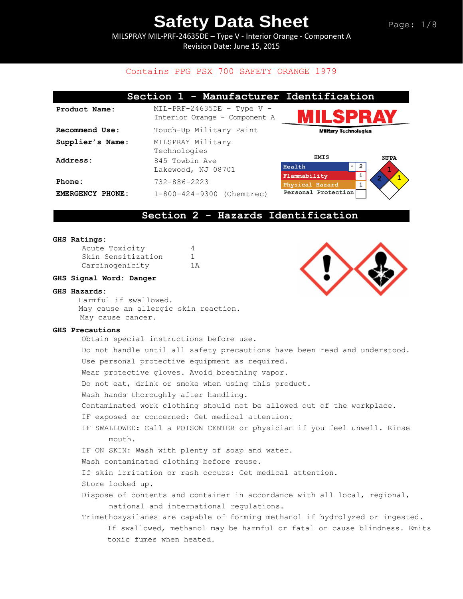MILSPRAY MIL-PRF-24635DE – Type V - Interior Orange - Component A Revision Date: June 15, 2015

### Contains PPG PSX 700 SAFETY ORANGE 1979

|                  | Section 1 - Manufacturer Identification                       |                                                            |
|------------------|---------------------------------------------------------------|------------------------------------------------------------|
| Product Name:    | $MIL-PRF-24635DE$ - Type V -<br>Interior Orange - Component A | WILSPRAY                                                   |
| Recommend Use:   | Touch-Up Military Paint                                       | <b>Military Technologies</b>                               |
| Supplier's Name: | MILSPRAY Military<br>Technologies                             |                                                            |
| Address:         | 845 Towbin Ave<br>Lakewood, NJ 08701                          | HMIS<br><b>NFPA</b><br>$\star$<br>$\overline{2}$<br>Health |
| Phone:           | $732 - 886 - 2223$                                            | 1<br>Flammability<br>1<br>Physical Hazard                  |
| EMERGENCY PHONE: | 1-800-424-9300 (Chemtrec)                                     | Personal Protection                                        |

#### **Section 2 - Hazards Identification**

#### **GHS Ratings:**

| Acute Toxicity     | 4   |
|--------------------|-----|
| Skin Sensitization |     |
| Carcinogenicity    | 1 A |

#### **GHS Signal Word: Danger**

#### **GHS Hazards:**

Harmful if swallowed. May cause an allergic skin reaction. May cause cancer.

#### **GHS Precautions**

Obtain special instructions before use. Do not handle until all safety precautions have been read and understood. Use personal protective equipment as required. Wear protective gloves. Avoid breathing vapor. Do not eat, drink or smoke when using this product. Wash hands thoroughly after handling. Contaminated work clothing should not be allowed out of the workplace. IF exposed or concerned: Get medical attention. IF SWALLOWED: Call a POISON CENTER or physician if you feel unwell. Rinse mouth. IF ON SKIN: Wash with plenty of soap and water. Wash contaminated clothing before reuse. If skin irritation or rash occurs: Get medical attention. Store locked up. Dispose of contents and container in accordance with all local, regional, national and international regulations. Trimethoxysilanes are capable of forming methanol if hydrolyzed or ingested. If swallowed, methanol may be harmful or fatal or cause blindness. Emits toxic fumes when heated.

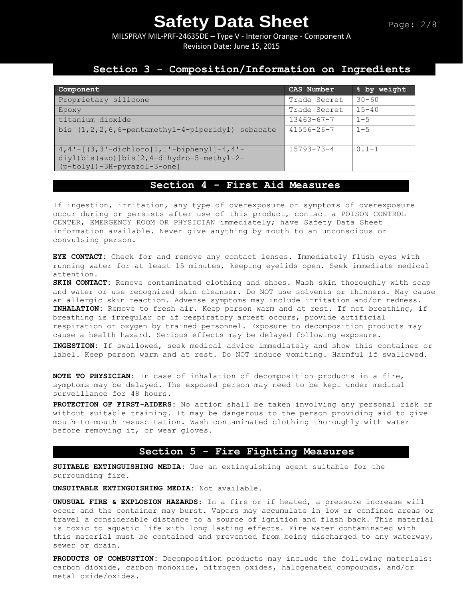MILSPRAY MIL-PRF-24635DE – Type V - Interior Orange - Component A Revision Date: June 15, 2015

## **Section 3 - Composition/Information on Ingredients**

| Component                                                                                                                             | CAS Number       | % by weight |
|---------------------------------------------------------------------------------------------------------------------------------------|------------------|-------------|
| Proprietary silicone                                                                                                                  | Trade Secret     | $30 - 60$   |
| Epoxy                                                                                                                                 | Trade Secret     | $15 - 40$   |
| titanium dioxide                                                                                                                      | $13463 - 67 - 7$ | $1 - 5$     |
| bis (1, 2, 2, 6, 6-pentamethyl-4-piperidyl) sebacate                                                                                  | $41556 - 26 - 7$ | $1 - 5$     |
| $4,4'$ - $[$ (3, 3' -dichloro $[1,1'$ -biphenyl] -4, 4' -<br>diyl)bis(azo)]bis[2,4-dihydro-5-methyl-2-<br>(p-tolyl)-3H-pyrazol-3-one] | $15793 - 73 - 4$ | $0.1 - 1$   |

## **Section 4 - First Aid Measures**

If ingestion, irritation, any type of overexposure or symptoms of overexposure occur during or persists after use of this product, contact a POISON CONTROL CENTER, EMERGENCY ROOM OR PHYSICIAN immediately; have Safety Data Sheet information available. Never give anything by mouth to an unconscious or convulsing person.

**EYE CONTACT:** Check for and remove any contact lenses. Immediately flush eyes with running water for at least 15 minutes, keeping eyelids open. Seek immediate medical attention.

**SKIN CONTACT:** Remove contaminated clothing and shoes. Wash skin thoroughly with soap and water or use recognized skin cleanser. Do NOT use solvents or thinners. May cause an allergic skin reaction. Adverse symptoms may include irritation and/or redness. **INHALATION:** Remove to fresh air. Keep person warm and at rest. If not breathing, if breathing is irregular or if respiratory arrest occurs, provide artificial respiration or oxygen by trained personnel. Exposure to decomposition products may cause a health hazard. Serious effects may be delayed following exposure.

**INGESTION:** If swallowed, seek medical advice immediately and show this container or label. Keep person warm and at rest. Do NOT induce vomiting. Harmful if swallowed.

**NOTE TO PHYSICIAN:** In case of inhalation of decomposition products in a fire, symptoms may be delayed. The exposed person may need to be kept under medical surveillance for 48 hours.

**PROTECTION OF FIRST-AIDERS:** No action shall be taken involving any personal risk or without suitable training. It may be dangerous to the person providing aid to give mouth-to-mouth resuscitation. Wash contaminated clothing thoroughly with water before removing it, or wear gloves.

#### **Section 5 - Fire Fighting Measures**

**SUITABLE EXTINGUISHING MEDIA:** Use an extinguishing agent suitable for the surrounding fire.

**UNSUITABLE EXTINGUISHING MEDIA:** Not available.

**UNUSUAL FIRE & EXPLOSION HAZARDS:** In a fire or if heated, a pressure increase will occur and the container may burst. Vapors may accumulate in low or confined areas or travel a considerable distance to a source of ignition and flash back. This material is toxic to aquatic life with long lasting effects. Fire water contaminated with this material must be contained and prevented from being discharged to any waterway, sewer or drain.

**PRODUCTS OF COMBUSTION:** Decomposition products may include the following materials: carbon dioxide, carbon monoxide, nitrogen oxides, halogenated compounds, and/or metal oxide/oxides.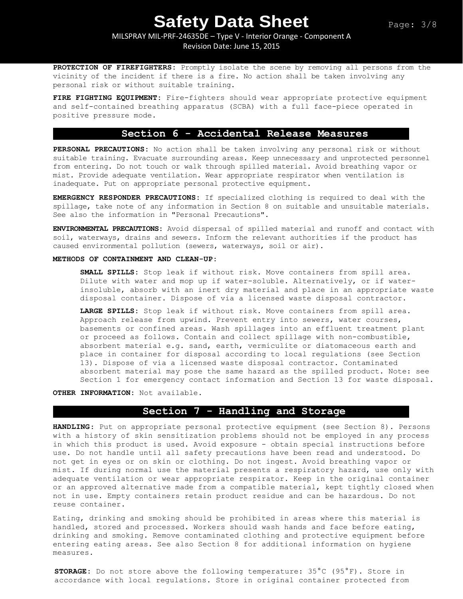MILSPRAY MIL-PRF-24635DE – Type V - Interior Orange - Component A

Revision Date: June 15, 2015

**PROTECTION OF FIREFIGHTERS:** Promptly isolate the scene by removing all persons from the vicinity of the incident if there is a fire. No action shall be taken involving any personal risk or without suitable training.

**FIRE FIGHTING EQUIPMENT:** Fire-fighters should wear appropriate protective equipment and self-contained breathing apparatus (SCBA) with a full face-piece operated in positive pressure mode.

## **Section 6 - Accidental Release Measures**

**PERSONAL PRECAUTIONS:** No action shall be taken involving any personal risk or without suitable training. Evacuate surrounding areas. Keep unnecessary and unprotected personnel from entering. Do not touch or walk through spilled material. Avoid breathing vapor or mist. Provide adequate ventilation. Wear appropriate respirator when ventilation is inadequate. Put on appropriate personal protective equipment.

**EMERGENCY RESPONDER PRECAUTIONS:** If specialized clothing is required to deal with the spillage, take note of any information in Section 8 on suitable and unsuitable materials. See also the information in "Personal Precautions".

**ENVIRONMENTAL PRECAUTIONS:** Avoid dispersal of spilled material and runoff and contact with soil, waterways, drains and sewers. Inform the relevant authorities if the product has caused environmental pollution (sewers, waterways, soil or air).

#### **METHODS OF CONTAINMENT AND CLEAN-UP:**

**SMALL SPILLS:** Stop leak if without risk. Move containers from spill area. Dilute with water and mop up if water-soluble. Alternatively, or if waterinsoluble, absorb with an inert dry material and place in an appropriate waste disposal container. Dispose of via a licensed waste disposal contractor.

**LARGE SPILLS:** Stop leak if without risk. Move containers from spill area. Approach release from upwind. Prevent entry into sewers, water courses, basements or confined areas. Wash spillages into an effluent treatment plant or proceed as follows. Contain and collect spillage with non-combustible, absorbent material e.g. sand, earth, vermiculite or diatomaceous earth and place in container for disposal according to local regulations (see Section 13). Dispose of via a licensed waste disposal contractor. Contaminated absorbent material may pose the same hazard as the spilled product. Note: see Section 1 for emergency contact information and Section 13 for waste disposal.

**OTHER INFORMATION:** Not available.

#### **Section 7 - Handling and Storage**

**HANDLING**: Put on appropriate personal protective equipment (see Section 8). Persons with a history of skin sensitization problems should not be employed in any process in which this product is used. Avoid exposure - obtain special instructions before use. Do not handle until all safety precautions have been read and understood. Do not get in eyes or on skin or clothing. Do not ingest. Avoid breathing vapor or mist. If during normal use the material presents a respiratory hazard, use only with adequate ventilation or wear appropriate respirator. Keep in the original container or an approved alternative made from a compatible material, kept tightly closed when not in use. Empty containers retain product residue and can be hazardous. Do not reuse container.

Eating, drinking and smoking should be prohibited in areas where this material is handled, stored and processed. Workers should wash hands and face before eating, drinking and smoking. Remove contaminated clothing and protective equipment before entering eating areas. See also Section 8 for additional information on hygiene measures.

**STORAGE:** Do not store above the following temperature: 35°C (95°F). Store in accordance with local regulations. Store in original container protected from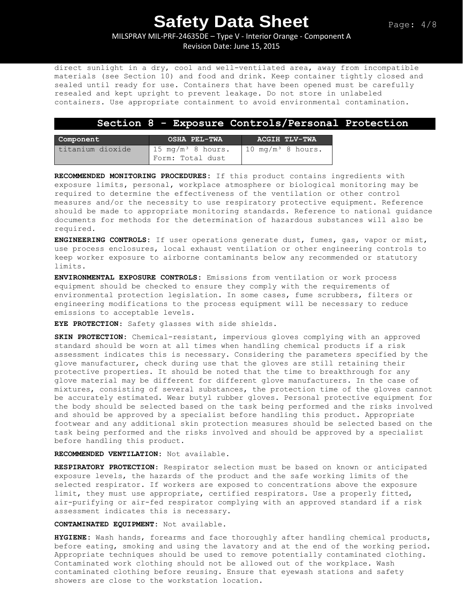MILSPRAY MIL-PRF-24635DE – Type V - Interior Orange - Component A Revision Date: June 15, 2015

direct sunlight in a dry, cool and well-ventilated area, away from incompatible materials (see Section 10) and food and drink. Keep container tightly closed and sealed until ready for use. Containers that have been opened must be carefully resealed and kept upright to prevent leakage. Do not store in unlabeled containers. Use appropriate containment to avoid environmental contamination.

#### **Section 8 - Exposure Controls/Personal Protection**

| Component        | <b>OSHA PEL-TWA</b>                               | ACGIH TLV-TWA                 |  |
|------------------|---------------------------------------------------|-------------------------------|--|
| titanium dioxide | 15 mg/m <sup>3</sup> 8 hours.<br>Form: Total dust | 10 mg/m <sup>3</sup> 8 hours. |  |

**RECOMMENDED MONITORING PROCEDURES:** If this product contains ingredients with exposure limits, personal, workplace atmosphere or biological monitoring may be required to determine the effectiveness of the ventilation or other control measures and/or the necessity to use respiratory protective equipment. Reference should be made to appropriate monitoring standards. Reference to national guidance documents for methods for the determination of hazardous substances will also be required.

**ENGINEERING CONTROLS:** If user operations generate dust, fumes, gas, vapor or mist, use process enclosures, local exhaust ventilation or other engineering controls to keep worker exposure to airborne contaminants below any recommended or statutory limits.

**ENVIRONMENTAL EXPOSURE CONTROLS:** Emissions from ventilation or work process equipment should be checked to ensure they comply with the requirements of environmental protection legislation. In some cases, fume scrubbers, filters or engineering modifications to the process equipment will be necessary to reduce emissions to acceptable levels.

**EYE PROTECTION**: Safety glasses with side shields.

**SKIN PROTECTION:** Chemical-resistant, impervious gloves complying with an approved standard should be worn at all times when handling chemical products if a risk assessment indicates this is necessary. Considering the parameters specified by the glove manufacturer, check during use that the gloves are still retaining their protective properties. It should be noted that the time to breakthrough for any glove material may be different for different glove manufacturers. In the case of mixtures, consisting of several substances, the protection time of the gloves cannot be accurately estimated. Wear butyl rubber gloves. Personal protective equipment for the body should be selected based on the task being performed and the risks involved and should be approved by a specialist before handling this product. Appropriate footwear and any additional skin protection measures should be selected based on the task being performed and the risks involved and should be approved by a specialist before handling this product.

**RECOMMENDED VENTILATION:** Not available.

**RESPIRATORY PROTECTION**: Respirator selection must be based on known or anticipated exposure levels, the hazards of the product and the safe working limits of the selected respirator. If workers are exposed to concentrations above the exposure limit, they must use appropriate, certified respirators. Use a properly fitted, air-purifying or air-fed respirator complying with an approved standard if a risk assessment indicates this is necessary.

**CONTAMINATED EQUIPMENT:** Not available.

**HYGIENE:** Wash hands, forearms and face thoroughly after handling chemical products, before eating, smoking and using the lavatory and at the end of the working period. Appropriate techniques should be used to remove potentially contaminated clothing. Contaminated work clothing should not be allowed out of the workplace. Wash contaminated clothing before reusing. Ensure that eyewash stations and safety showers are close to the workstation location.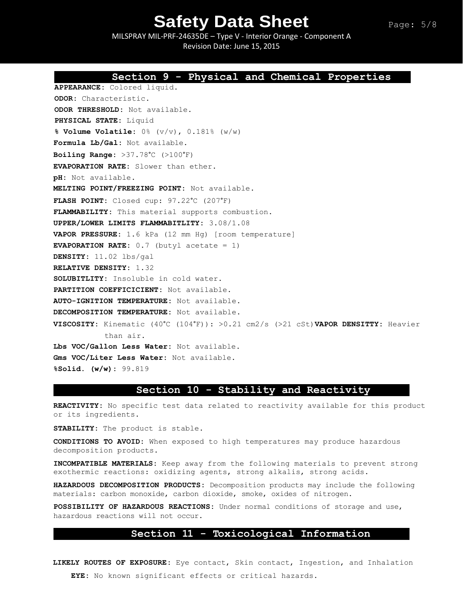MILSPRAY MIL-PRF-24635DE – Type V - Interior Orange - Component A Revision Date: June 15, 2015

**Section 9 - Physical and Chemical Properties** 

## **APPEARANCE:** Colored liquid. **ODOR:** Characteristic. **ODOR THRESHOLD:** Not available. **PHYSICAL STATE:** Liquid **% Volume Volatile:** 0% (v/v), 0.181% (w/w) **Formula Lb/Gal:** Not available. **Boiling Range:** >37.78°C (>100°F) **EVAPORATION RATE:** Slower than ether. **pH:** Not available. **MELTING POINT/FREEZING POINT:** Not available. **FLASH POINT:** Closed cup: 97.22°C (207°F) **FLAMMABILITY:** This material supports combustion. **UPPER/LOWER LIMITS FLAMMABITLITY:** 3.08/1.08 **VAPOR PRESSURE:** 1.6 kPa (12 mm Hg) [room temperature] **EVAPORATION RATE:** 0.7 (butyl acetate = 1) **DENSITY:** 11.02 lbs/gal **RELATIVE DENSITY:** 1.32 **SOLUBITLITY:** Insoluble in cold water. **PARTITION COEFFICICIENT:** Not available. **AUTO-IGNITION TEMPERATURE:** Not available. **DECOMPOSITION TEMPERATURE:** Not available. **VISCOSITY:** Kinematic (40°C (104°F)): >0.21 cm2/s (>21 cSt)**VAPOR DENSITTY:** Heavier than air. **Lbs VOC/Gallon Less Water:** Not available. **Gms VOC/Liter Less Water:** Not available. **%Solid. (w/w):** 99.819 **Section 10 - Stability and Reactivity**

**REACTIVITY:** No specific test data related to reactivity available for this product or its ingredients.

**STABILITY:** The product is stable.

**CONDITIONS TO AVOID:** When exposed to high temperatures may produce hazardous decomposition products.

**INCOMPATIBLE MATERIALS:** Keep away from the following materials to prevent strong exothermic reactions: oxidizing agents, strong alkalis, strong acids.

**HAZARDOUS DECOMPOSITION PRODUCTS:** Decomposition products may include the following materials: carbon monoxide, carbon dioxide, smoke, oxides of nitrogen**.**

**POSSIBILITY OF HAZARDOUS REACTIONS:** Under normal conditions of storage and use, hazardous reactions will not occur.

#### **Section 11 - Toxicological Information**

**LIKELY ROUTES OF EXPOSURE:** Eye contact, Skin contact, Ingestion, and Inhalation **EYE:** No known significant effects or critical hazards.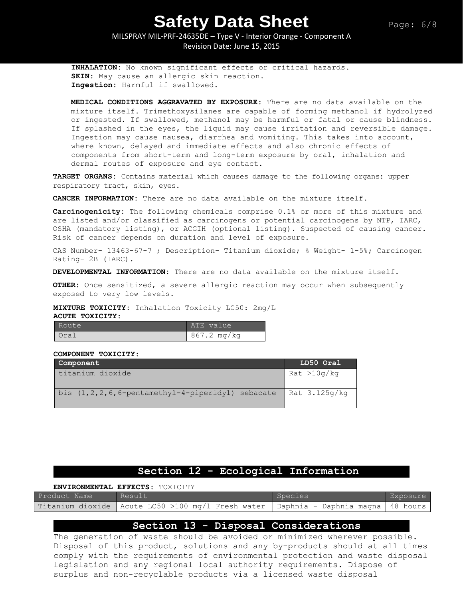MILSPRAY MIL-PRF-24635DE – Type V - Interior Orange - Component A Revision Date: June 15, 2015

**INHALATION:** No known significant effects or critical hazards. **SKIN:** May cause an allergic skin reaction. **Ingestion:** Harmful if swallowed.

**MEDICAL CONDITIONS AGGRAVATED BY EXPOSURE:** There are no data available on the mixture itself. Trimethoxysilanes are capable of forming methanol if hydrolyzed or ingested. If swallowed, methanol may be harmful or fatal or cause blindness. If splashed in the eyes, the liquid may cause irritation and reversible damage. Ingestion may cause nausea, diarrhea and vomiting. This takes into account, where known, delayed and immediate effects and also chronic effects of components from short-term and long-term exposure by oral, inhalation and dermal routes of exposure and eye contact.

**TARGET ORGANS:** Contains material which causes damage to the following organs: upper respiratory tract, skin, eyes.

**CANCER INFORMATION:** There are no data available on the mixture itself.

**Carcinogenicity:** The following chemicals comprise 0.1% or more of this mixture and are listed and/or classified as carcinogens or potential carcinogens by NTP, IARC, OSHA (mandatory listing), or ACGIH (optional listing). Suspected of causing cancer. Risk of cancer depends on duration and level of exposure.

CAS Number- 13463-67-7 ; Description- Titanium dioxide; % Weight- 1-5%; Carcinogen Rating- 2B (IARC).

**DEVELOPMENTAL INFORMATION:** There are no data available on the mixture itself.

**OTHER:** Once sensitized, a severe allergic reaction may occur when subsequently exposed to very low levels.

**MIXTURE TOXICITY:** Inhalation Toxicity LC50: 2mg/L

#### **ACUTE TOXICITY:**

| Route | ATE value   |
|-------|-------------|
| Oral  | 867.2 mg/kg |

#### **COMPONENT TOXICITY:**

| Component                                               | LD50 Oral       |
|---------------------------------------------------------|-----------------|
| titanium dioxide                                        | Rat > 10q/kg    |
| bis $(1, 2, 2, 6, 6$ -pentamethyl-4-piperidyl) sebacate | Rat $3.125q/kg$ |

## **Section 12 - Ecological Information**

|              | <b>ENVIRONMENTAL EFFECTS: TOXICITY</b>                                                   |         |          |
|--------------|------------------------------------------------------------------------------------------|---------|----------|
| Product Name | Result                                                                                   | Species | Exposure |
|              | Titanium dioxide   Acute LC50 >100 mg/l Fresh water   Daphnia - Daphnia magna   48 hours |         |          |

#### **Section 13 - Disposal Considerations**

The generation of waste should be avoided or minimized wherever possible. Disposal of this product, solutions and any by-products should at all times comply with the requirements of environmental protection and waste disposal legislation and any regional local authority requirements. Dispose of surplus and non-recyclable products via a licensed waste disposal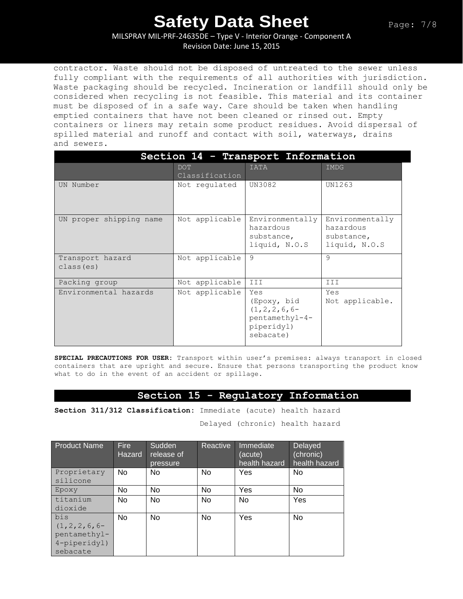MILSPRAY MIL-PRF-24635DE – Type V - Interior Orange - Component A

Revision Date: June 15, 2015

contractor. Waste should not be disposed of untreated to the sewer unless fully compliant with the requirements of all authorities with jurisdiction. Waste packaging should be recycled. Incineration or landfill should only be considered when recycling is not feasible. This material and its container must be disposed of in a safe way. Care should be taken when handling emptied containers that have not been cleaned or rinsed out. Empty containers or liners may retain some product residues. Avoid dispersal of spilled material and runoff and contact with soil, waterways, drains and sewers.

| Section 14 - Transport Information |                              |                                                                                      |                                                             |  |
|------------------------------------|------------------------------|--------------------------------------------------------------------------------------|-------------------------------------------------------------|--|
|                                    | <b>DOT</b><br>Classification | <b>IATA</b>                                                                          | IMDG                                                        |  |
| UN Number                          | Not requlated                | UN3082                                                                               | UN1263                                                      |  |
| UN proper shipping name            | Not applicable               | Environmentally<br>hazardous<br>substance,<br>liquid, N.O.S                          | Environmentally<br>hazardous<br>substance,<br>liquid, N.O.S |  |
| Transport hazard<br>class (es)     | Not applicable               | 9                                                                                    | 9                                                           |  |
| Packing group                      | Not applicable               | III                                                                                  | III                                                         |  |
| Environmental hazards              | Not applicable               | Yes<br>(Epoxy, bid<br>$(1, 2, 2, 6, 6-$<br>pentamethyl-4-<br>piperidyl)<br>sebacate) | Yes<br>Not applicable.                                      |  |

**SPECIAL PRECAUTIONS FOR USER:** Transport within user's premises: always transport in closed containers that are upright and secure. Ensure that persons transporting the product know what to do in the event of an accident or spillage.

### **Section 15 - Regulatory Information**

**Section 311/312 Classification:** Immediate (acute) health hazard

Delayed (chronic) health hazard

| <b>Product Name</b>     | <b>Fire</b><br><b>Hazard</b> | Sudden<br>release of<br>pressure | Reactive  | Immediate<br>(acute)<br>health hazard | <b>Delayed</b><br>(chronic)<br>health hazard |
|-------------------------|------------------------------|----------------------------------|-----------|---------------------------------------|----------------------------------------------|
| Proprietary<br>silicone | No.                          | No                               | No        | Yes                                   | No                                           |
| Epoxy                   | No                           | No                               | No.       | Yes                                   | No                                           |
| titanium                | <b>No</b>                    | <b>No</b>                        | No        | <b>No</b>                             | Yes                                          |
| dioxide                 |                              |                                  |           |                                       |                                              |
| bis                     | <b>No</b>                    | <b>No</b>                        | <b>No</b> | Yes                                   | <b>No</b>                                    |
| $(1, 2, 2, 6, 6-$       |                              |                                  |           |                                       |                                              |
| pentamethyl-            |                              |                                  |           |                                       |                                              |
| 4-piperidyl)            |                              |                                  |           |                                       |                                              |
| sebacate                |                              |                                  |           |                                       |                                              |